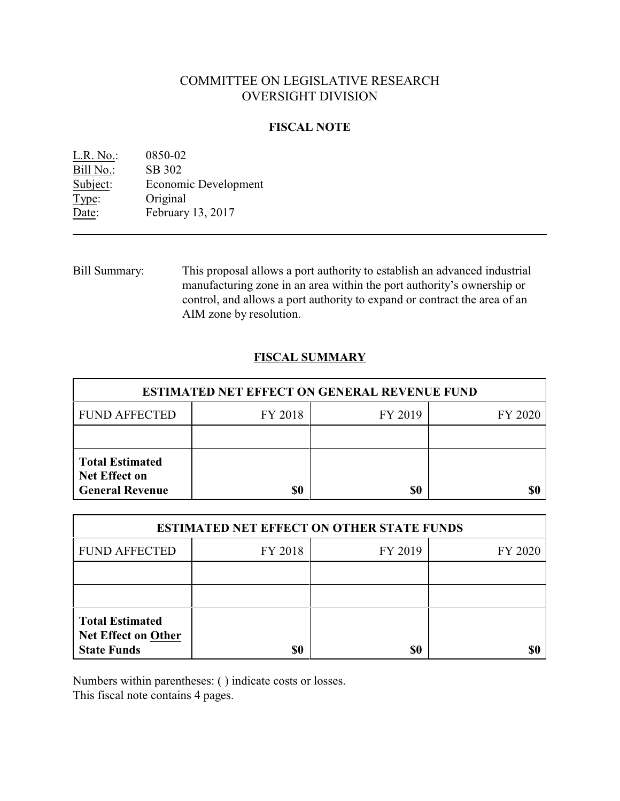# COMMITTEE ON LEGISLATIVE RESEARCH OVERSIGHT DIVISION

## **FISCAL NOTE**

| $L.R. No.$ : | 0850-02              |
|--------------|----------------------|
| Bill No.:    | SB 302               |
| Subject:     | Economic Development |
| Type:        | Original             |
| Date:        | February 13, 2017    |

Bill Summary: This proposal allows a port authority to establish an advanced industrial manufacturing zone in an area within the port authority's ownership or control, and allows a port authority to expand or contract the area of an AIM zone by resolution.

## **FISCAL SUMMARY**

| <b>ESTIMATED NET EFFECT ON GENERAL REVENUE FUND</b>                      |         |         |         |  |
|--------------------------------------------------------------------------|---------|---------|---------|--|
| <b>FUND AFFECTED</b>                                                     | FY 2018 | FY 2019 | FY 2020 |  |
|                                                                          |         |         |         |  |
| <b>Total Estimated</b><br><b>Net Effect on</b><br><b>General Revenue</b> | \$0     | \$0     |         |  |

| <b>ESTIMATED NET EFFECT ON OTHER STATE FUNDS</b>                           |         |         |         |  |
|----------------------------------------------------------------------------|---------|---------|---------|--|
| <b>FUND AFFECTED</b>                                                       | FY 2018 | FY 2019 | FY 2020 |  |
|                                                                            |         |         |         |  |
|                                                                            |         |         |         |  |
| <b>Total Estimated</b><br><b>Net Effect on Other</b><br><b>State Funds</b> | \$0     | \$0     |         |  |

Numbers within parentheses: ( ) indicate costs or losses.

This fiscal note contains 4 pages.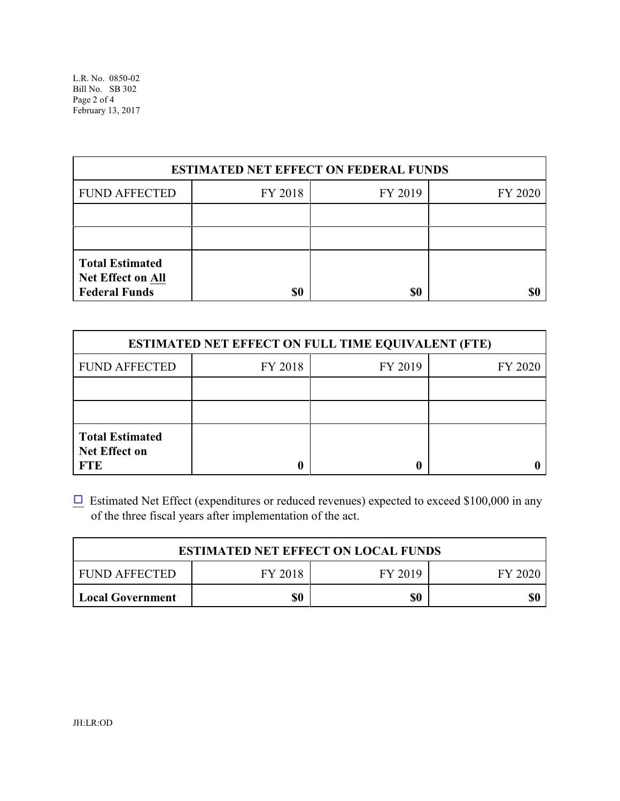L.R. No. 0850-02 Bill No. SB 302 Page 2 of 4 February 13, 2017

| <b>ESTIMATED NET EFFECT ON FEDERAL FUNDS</b>                               |         |         |         |  |
|----------------------------------------------------------------------------|---------|---------|---------|--|
| <b>FUND AFFECTED</b>                                                       | FY 2018 | FY 2019 | FY 2020 |  |
|                                                                            |         |         |         |  |
|                                                                            |         |         |         |  |
| <b>Total Estimated</b><br><b>Net Effect on All</b><br><b>Federal Funds</b> | \$0     | \$0     |         |  |

| <b>ESTIMATED NET EFFECT ON FULL TIME EQUIVALENT (FTE)</b>    |         |         |         |  |
|--------------------------------------------------------------|---------|---------|---------|--|
| <b>FUND AFFECTED</b>                                         | FY 2018 | FY 2019 | FY 2020 |  |
|                                                              |         |         |         |  |
|                                                              |         |         |         |  |
| <b>Total Estimated</b><br><b>Net Effect on</b><br><b>FTE</b> |         |         |         |  |

 $\Box$  Estimated Net Effect (expenditures or reduced revenues) expected to exceed \$100,000 in any of the three fiscal years after implementation of the act.

| <b>ESTIMATED NET EFFECT ON LOCAL FUNDS</b> |         |         |         |
|--------------------------------------------|---------|---------|---------|
| FUND AFFECTED                              | FY 2018 | FY 2019 | FY 2020 |
| <b>Local Government</b>                    | \$0     | \$0     | \$0     |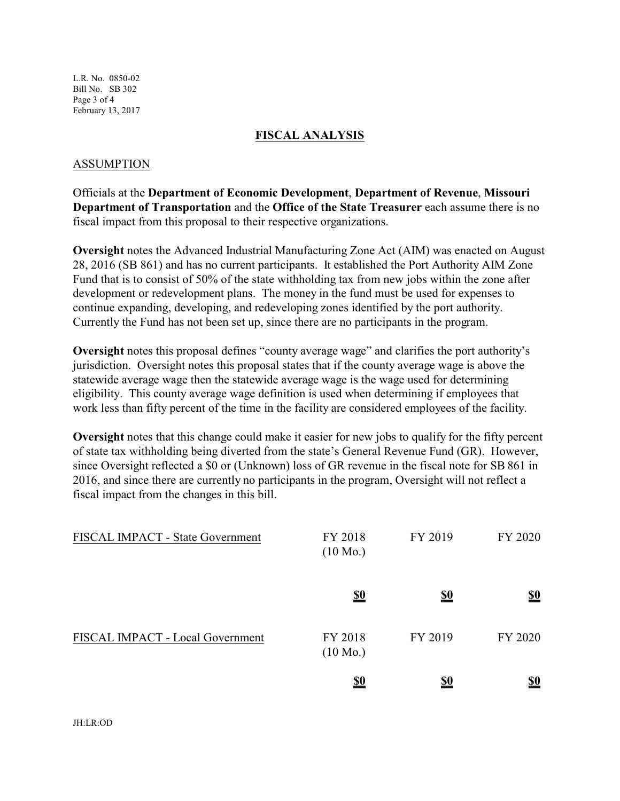L.R. No. 0850-02 Bill No. SB 302 Page 3 of 4 February 13, 2017

#### **FISCAL ANALYSIS**

#### ASSUMPTION

Officials at the **Department of Economic Development**, **Department of Revenue**, **Missouri Department of Transportation** and the **Office of the State Treasurer** each assume there is no fiscal impact from this proposal to their respective organizations.

**Oversight** notes the Advanced Industrial Manufacturing Zone Act (AIM) was enacted on August 28, 2016 (SB 861) and has no current participants. It established the Port Authority AIM Zone Fund that is to consist of 50% of the state withholding tax from new jobs within the zone after development or redevelopment plans. The money in the fund must be used for expenses to continue expanding, developing, and redeveloping zones identified by the port authority. Currently the Fund has not been set up, since there are no participants in the program.

**Oversight** notes this proposal defines "county average wage" and clarifies the port authority's jurisdiction. Oversight notes this proposal states that if the county average wage is above the statewide average wage then the statewide average wage is the wage used for determining eligibility. This county average wage definition is used when determining if employees that work less than fifty percent of the time in the facility are considered employees of the facility.

**Oversight** notes that this change could make it easier for new jobs to qualify for the fifty percent of state tax withholding being diverted from the state's General Revenue Fund (GR). However, since Oversight reflected a \$0 or (Unknown) loss of GR revenue in the fiscal note for SB 861 in 2016, and since there are currently no participants in the program, Oversight will not reflect a fiscal impact from the changes in this bill.

| FISCAL IMPACT - State Government | FY 2018<br>$(10 \text{ Mo.})$ | FY 2019    | FY 2020                       |
|----------------------------------|-------------------------------|------------|-------------------------------|
|                                  | $\underline{\underline{\$0}}$ | <u>\$0</u> | $\underline{\underline{\$0}}$ |
| FISCAL IMPACT - Local Government | FY 2018<br>$(10 \text{ Mo.})$ | FY 2019    | FY 2020                       |
|                                  | <u>\$0</u>                    | <u>\$0</u> | <u>\$0</u>                    |